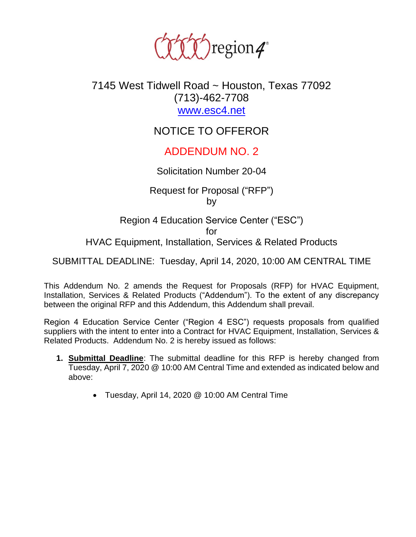

## 7145 West Tidwell Road ~ Houston, Texas 77092 (713)-462-7708 [www.esc4.net](http://www.esc4.net/)

# NOTICE TO OFFEROR

## ADDENDUM NO. 2

#### Solicitation Number 20-04

Request for Proposal ("RFP") by

Region 4 Education Service Center ("ESC") for HVAC Equipment, Installation, Services & Related Products

SUBMITTAL DEADLINE: Tuesday, April 14, 2020, 10:00 AM CENTRAL TIME

This Addendum No. 2 amends the Request for Proposals (RFP) for HVAC Equipment, Installation, Services & Related Products ("Addendum"). To the extent of any discrepancy between the original RFP and this Addendum, this Addendum shall prevail.

Region 4 Education Service Center ("Region 4 ESC") requests proposals from qualified suppliers with the intent to enter into a Contract for HVAC Equipment, Installation, Services & Related Products. Addendum No. 2 is hereby issued as follows:

- **1. Submittal Deadline**: The submittal deadline for this RFP is hereby changed from Tuesday, April 7, 2020 @ 10:00 AM Central Time and extended as indicated below and above:
	- Tuesday, April 14, 2020 @ 10:00 AM Central Time